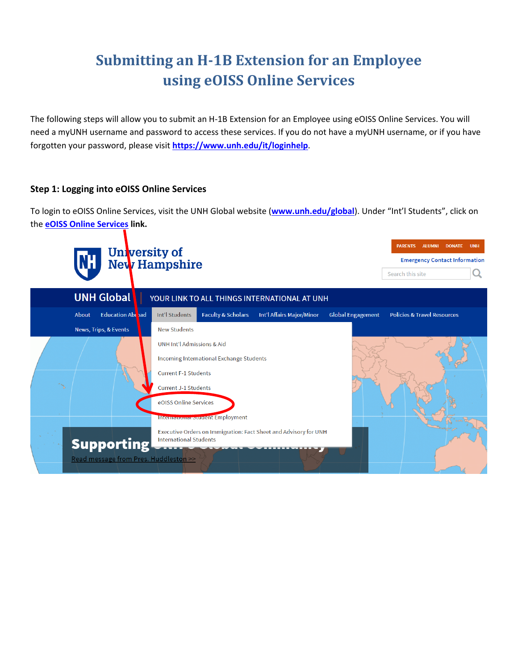## **Submitting an H-1B Extension for an Employee using eOISS Online Services**

The following steps will allow you to submit an H-1B Extension for an Employee using eOISS Online Services. You will need a myUNH username and password to access these services. If you do not have a myUNH username, or if you have forgotten your password, please visit **https://www.unh.edu/it/loginhelp**.

## **Step 1: Logging into eOISS Online Services**

To login to eOISS Online Services, visit the UNH Global website (**www.unh.edu/global**). Under "Int'l Students", click on the **eOISS Online Services link.**

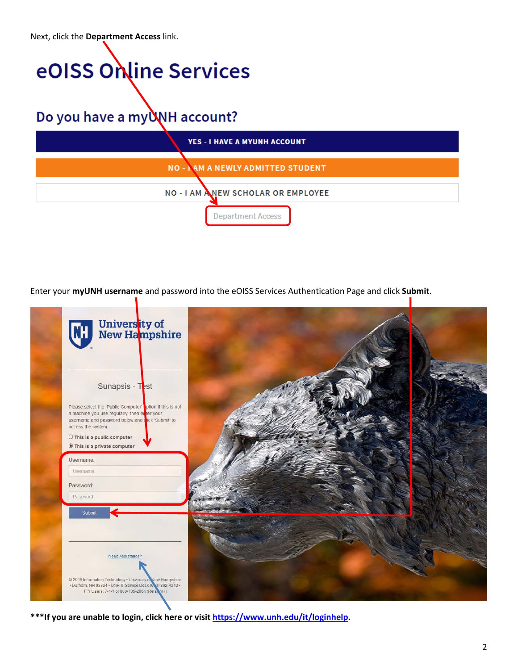Next, click the **Department Access** link.

# eOISS Online Services

Do you have a my WH account?

| <b>YES - I HAVE A MYUNH ACCOUNT</b>       |
|-------------------------------------------|
| <b>NO - I AM A NEWLY ADMITTED STUDENT</b> |
| NO - I AM ANEW SCHOLAR OR EMPLOYEE        |
| <b>Department Access</b>                  |

Enter your **myUNH username** and password into the eOISS Services Authentication Page and click **Submit**.



**\*\*\*If you are unable to login, click here or visit https://www.unh.edu/it/loginhelp.**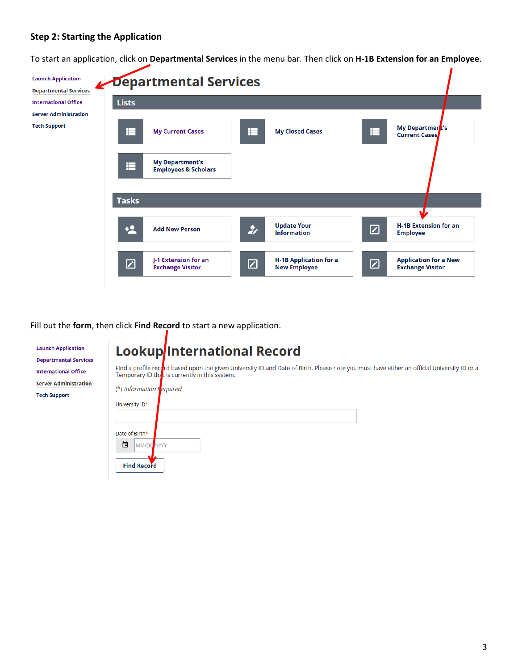## **Step 2: Starting the Application**

To start an application, click on **Departmental Services** in the menu bar. Then click on **H‐1B Extension for an Employee**.

| <b>Launch Application</b><br><b>Departmental Services</b> |              | Departmental Services                                     |                          |                                                      |   |                                                         |
|-----------------------------------------------------------|--------------|-----------------------------------------------------------|--------------------------|------------------------------------------------------|---|---------------------------------------------------------|
| <b>International Office</b>                               | <b>Lists</b> |                                                           |                          |                                                      |   |                                                         |
| <b>Server Administration</b>                              |              |                                                           |                          |                                                      |   |                                                         |
| <b>Tech Support</b>                                       | ⊫            | <b>My Current Cases</b>                                   | Ħ                        | <b>My Closed Cases</b>                               | Ħ | My Department's<br><b>Current Cases</b>                 |
|                                                           | E            | <b>My Department's</b><br><b>Employees &amp; Scholars</b> |                          |                                                      |   |                                                         |
|                                                           | <b>Tasks</b> |                                                           |                          |                                                      |   |                                                         |
|                                                           |              |                                                           |                          |                                                      |   |                                                         |
|                                                           | $+2$         | <b>Add New Person</b>                                     | $\bullet$                | <b>Update Your</b><br><b>Information</b>             | ☑ | <b>H-1B Extension for an</b><br><b>Employee</b>         |
|                                                           | ☑            | J-1 Extension for an<br><b>Exchange Visitor</b>           | $\boldsymbol{\boxtimes}$ | <b>H-1B Application for a</b><br><b>New Employee</b> | ☑ | <b>Application for a New</b><br><b>Exchange Visitor</b> |

Fill out the **form**, then click **Find Record** to start a new application.

| <b>Launch Application</b><br><b>Departmental Services</b> | <b>Lookup/International Record</b>                                                                                                                                                            |
|-----------------------------------------------------------|-----------------------------------------------------------------------------------------------------------------------------------------------------------------------------------------------|
| <b>International Office</b>                               | Find a profile record based upon the given University ID and Date of Birth. Please note you must have either an official University ID or a<br>Temporary ID that is currently in this system. |
| <b>Server Administration</b>                              |                                                                                                                                                                                               |
| <b>Tech Support</b>                                       | (*) Information Fequired                                                                                                                                                                      |
|                                                           | University ID*                                                                                                                                                                                |
|                                                           |                                                                                                                                                                                               |
|                                                           | Date of Birth*                                                                                                                                                                                |
|                                                           | 曲<br>MM/DD YYYY                                                                                                                                                                               |
|                                                           | <b>Find Record</b>                                                                                                                                                                            |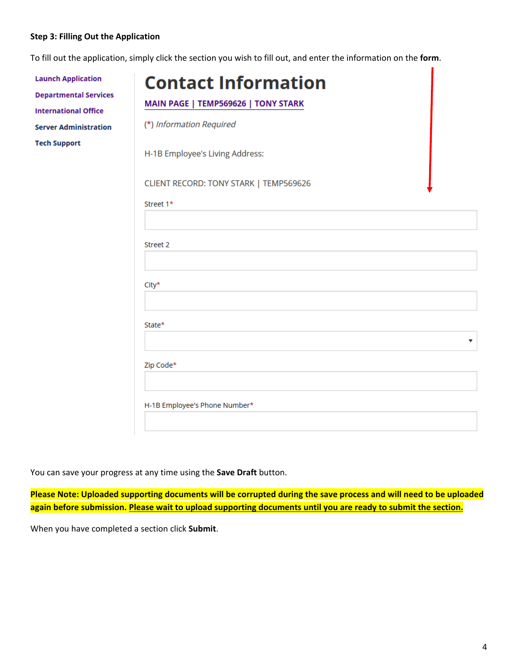## **Step 3: Filling Out the Application**

To fill out the application, simply click the section you wish to fill out, and enter the information on the **form**.

| <b>Launch Application</b><br><b>Departmental Services</b><br><b>International Office</b> | <b>Contact Information</b><br>MAIN PAGE   TEMP569626   TONY STARK |
|------------------------------------------------------------------------------------------|-------------------------------------------------------------------|
| <b>Server Administration</b>                                                             | (*) Information Required                                          |
| <b>Tech Support</b>                                                                      | H-1B Employee's Living Address:                                   |
|                                                                                          | CLIENT RECORD: TONY STARK   TEMP569626                            |
|                                                                                          | Street 1*                                                         |
|                                                                                          |                                                                   |
|                                                                                          | Street 2                                                          |
|                                                                                          |                                                                   |
|                                                                                          | City*                                                             |
|                                                                                          |                                                                   |
|                                                                                          | State*                                                            |
|                                                                                          | ▼                                                                 |
|                                                                                          | Zip Code*                                                         |
|                                                                                          |                                                                   |
|                                                                                          | H-1B Employee's Phone Number*                                     |
|                                                                                          |                                                                   |

You can save your progress at any time using the **Save Draft** button.

**Please Note: Uploaded supporting documents will be corrupted during the save process and will need to be uploaded again before submission. Please wait to upload supporting documents until you are ready to submit the section.**

When you have completed a section click **Submit**.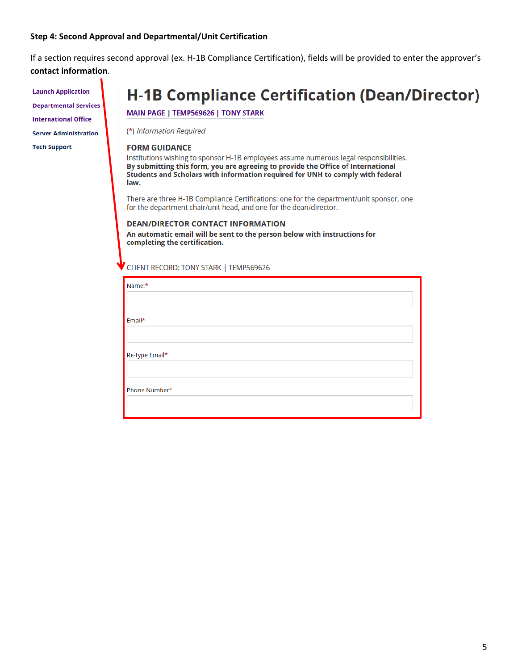### **Step 4: Second Approval and Departmental/Unit Certification**

If a section requires second approval (ex. H‐1B Compliance Certification), fields will be provided to enter the approver's **contact information**.

**Launch Application Departmental Services International Office Server Administration Tech Support** 

## **H-1B Compliance Certification (Dean/Director)**

MAIN PAGE | TEMP569626 | TONY STARK

(\*) Information Required

### **FORM GUIDANCE**

Institutions wishing to sponsor H-1B employees assume numerous legal responsibilities. By submitting this form, you are agreeing to provide the Office of International Students and Scholars with information required for UNH to comply with federal law.

There are three H-1B Compliance Certifications: one for the department/unit sponsor, one for the department chair/unit head, and one for the dean/director.

### **DEAN/DIRECTOR CONTACT INFORMATION** An automatic email will be sent to the person below with instructions for completing the certification.

CLIENT RECORD: TONY STARK | TEMP569626

| Name:*         |  |
|----------------|--|
|                |  |
| Email*         |  |
|                |  |
|                |  |
|                |  |
| Re-type Email* |  |
|                |  |
|                |  |
| Phone Number*  |  |
|                |  |
|                |  |
|                |  |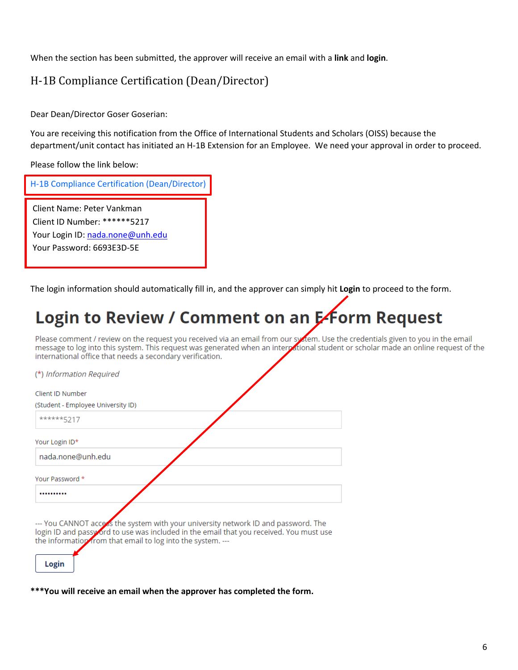When the section has been submitted, the approver will receive an email with a **link** and **login**.

## H-1B Compliance Certification (Dean/Director)

Dear Dean/Director Goser Goserian:

You are receiving this notification from the Office of International Students and Scholars (OISS) because the department/unit contact has initiated an H‐1B Extension for an Employee. We need your approval in order to proceed.

Please follow the link below:

| H-1B Compliance Certification (Dean/Director)                                                                               |
|-----------------------------------------------------------------------------------------------------------------------------|
| Client Name: Peter Vankman<br>Client ID Number: ******5217<br>Your Login ID: nada.none@unh.edu<br>Your Password: 6693E3D-5E |

The login information should automatically fill in, and the approver can simply hit **Login** to proceed to the form.

## Login to Review / Comment on an Efform Request

Please comment / review on the request you received via an email from our system. Use the credentials given to you in the email message to log into this system. This request was generated when an interpational student or scholar made an online request of the international office that needs a secondary verification.

| (*) Information Required                                                                                                                                                                                                                              |  |
|-------------------------------------------------------------------------------------------------------------------------------------------------------------------------------------------------------------------------------------------------------|--|
| Client ID Number                                                                                                                                                                                                                                      |  |
| (Student - Employee University ID)                                                                                                                                                                                                                    |  |
| ******5217                                                                                                                                                                                                                                            |  |
| Your Login ID*                                                                                                                                                                                                                                        |  |
| nada.none@unh.edu                                                                                                                                                                                                                                     |  |
| Your Password *                                                                                                                                                                                                                                       |  |
| .                                                                                                                                                                                                                                                     |  |
| --- You CANNOT access the system with your university network ID and password. The<br>login ID and passy ord to use was included in the email that you received. You must use<br>the information from that email to log into the system. ---<br>Login |  |

**\*\*\*You will receive an email when the approver has completed the form.**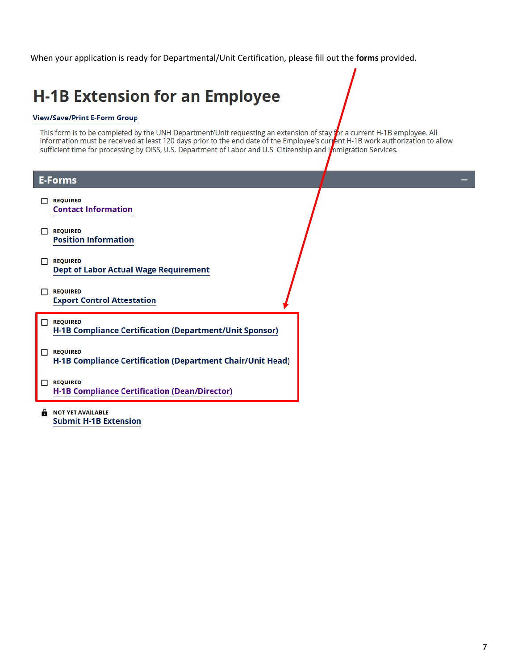When your application is ready for Departmental/Unit Certification, please fill out the **forms** provided.

## **H-1B Extension for an Employee**

### **View/Save/Print E-Form Group**

This form is to be completed by the UNH Department/Unit requesting an extension of stay for a current H-1B employee. All information must be received at least 120 days prior to the end date of the Employee's current H-1B sufficient time for processing by OISS, U.S. Department of Labor and U.S. Citizenship and Inmigration Services.

|              | <b>E-Forms</b>                                                                |  |  |
|--------------|-------------------------------------------------------------------------------|--|--|
|              | <b>REQUIRED</b><br><b>Contact Information</b>                                 |  |  |
| П            | <b>REQUIRED</b><br><b>Position Information</b>                                |  |  |
| $\mathbf{L}$ | <b>REQUIRED</b><br><b>Dept of Labor Actual Wage Requirement</b>               |  |  |
| П            | <b>REQUIRED</b><br><b>Export Control Attestation</b>                          |  |  |
| $\Box$       | <b>REQUIRED</b><br>H-1B Compliance Certification (Department/Unit Sponsor)    |  |  |
| $\Box$       | <b>REQUIRED</b><br>H-1B Compliance Certification (Department Chair/Unit Head) |  |  |
| П            | <b>REQUIRED</b><br><b>H-1B Compliance Certification (Dean/Director)</b>       |  |  |
| a            | <b>NOT YET AVAILABLE</b><br><b>Submit H-1B Extension</b>                      |  |  |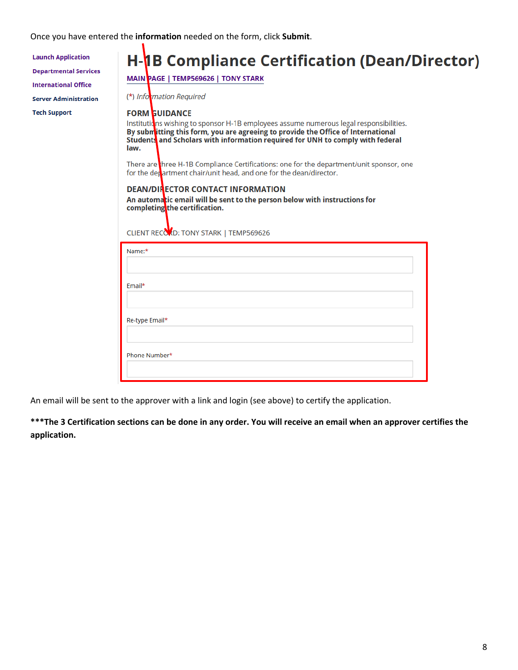Once you have entered the **information** needed on the form, click **Submit**.

| <b>Launch Application</b><br><b>Departmental Services</b><br><b>International Office</b> | <b>H-1B Compliance Certification (Dean/Director)</b><br>MAIN PAGE   TEMP569626   TONY STARK                                                                                                                                                                                                  |
|------------------------------------------------------------------------------------------|----------------------------------------------------------------------------------------------------------------------------------------------------------------------------------------------------------------------------------------------------------------------------------------------|
| <b>Server Administration</b>                                                             | (*) Information Required                                                                                                                                                                                                                                                                     |
| <b>Tech Support</b>                                                                      | <b>FORM GUIDANCE</b><br>Institutions wishing to sponsor H-1B employees assume numerous legal responsibilities.<br>By submitting this form, you are agreeing to provide the Office of International<br>Students and Scholars with information required for UNH to comply with federal<br>law. |
|                                                                                          | There are three H-1B Compliance Certifications: one for the department/unit sponsor, one<br>for the department chair/unit head, and one for the dean/director.                                                                                                                               |
|                                                                                          | <b>DEAN/DIRECTOR CONTACT INFORMATION</b><br>An automatic email will be sent to the person below with instructions for<br>completing the certification.<br>CLIENT RECOOD: TONY STARK   TEMP569626                                                                                             |
|                                                                                          | Name:*                                                                                                                                                                                                                                                                                       |
|                                                                                          | Email*                                                                                                                                                                                                                                                                                       |
|                                                                                          | Re-type Email*                                                                                                                                                                                                                                                                               |
|                                                                                          | Phone Number*                                                                                                                                                                                                                                                                                |
|                                                                                          |                                                                                                                                                                                                                                                                                              |

An email will be sent to the approver with a link and login (see above) to certify the application.

**\*\*\*The 3 Certification sections can be done in any order. You will receive an email when an approver certifies the application.**